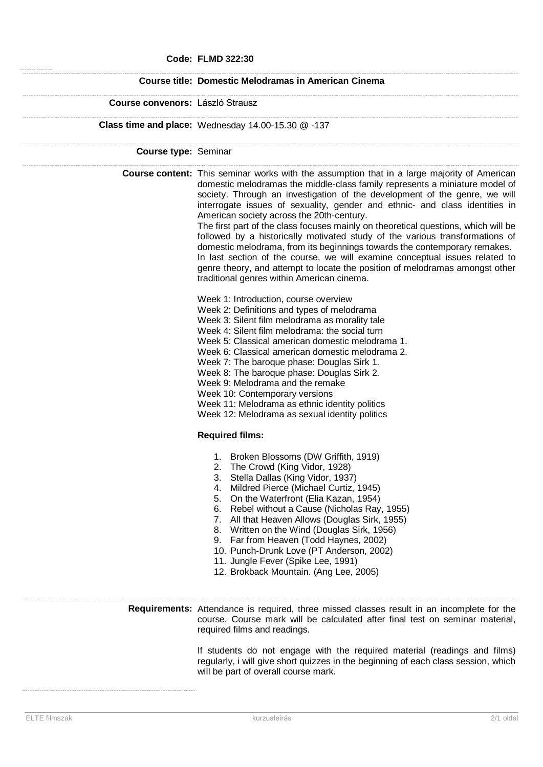#### **Code: FLMD 322:30**

### **Course title: Domestic Melodramas in American Cinema**

#### **Course convenors:** László Strausz

**Class time and place:** Wednesday 14.00-15.30 @ -137

**Course type:** Seminar

**Course content:** This seminar works with the assumption that in a large majority of American domestic melodramas the middle-class family represents a miniature model of society. Through an investigation of the development of the genre, we will interrogate issues of sexuality, gender and ethnic- and class identities in American society across the 20th-century.

> The first part of the class focuses mainly on theoretical questions, which will be followed by a historically motivated study of the various transformations of domestic melodrama, from its beginnings towards the contemporary remakes. In last section of the course, we will examine conceptual issues related to genre theory, and attempt to locate the position of melodramas amongst other traditional genres within American cinema.

- Week 1: Introduction, course overview
- Week 2: Definitions and types of melodrama
- Week 3: Silent film melodrama as morality tale
- Week 4: Silent film melodrama: the social turn
- Week 5: Classical american domestic melodrama 1.
- Week 6: Classical american domestic melodrama 2.
- Week 7: The baroque phase: Douglas Sirk 1.
- Week 8: The baroque phase: Douglas Sirk 2.
- Week 9: Melodrama and the remake
- Week 10: Contemporary versions
- Week 11: Melodrama as ethnic identity politics
- Week 12: Melodrama as sexual identity politics

# **Required films:**

- 1. Broken Blossoms (DW Griffith, 1919)
- 2. The Crowd (King Vidor, 1928)
- 3. Stella Dallas (King Vidor, 1937)
- 4. Mildred Pierce (Michael Curtiz, 1945)
- 5. On the Waterfront (Elia Kazan, 1954)
- 6. Rebel without a Cause (Nicholas Ray, 1955)
- 7. All that Heaven Allows (Douglas Sirk, 1955)
- 8. Written on the Wind (Douglas Sirk, 1956)
- 9. Far from Heaven (Todd Haynes, 2002)
- 10. Punch-Drunk Love (PT Anderson, 2002)
- 11. Jungle Fever (Spike Lee, 1991)
- 12. Brokback Mountain. (Ang Lee, 2005)

### **Requirements:** Attendance is required, three missed classes result in an incomplete for the course. Course mark will be calculated after final test on seminar material, required films and readings.

If students do not engage with the required material (readings and films) regularly, i will give short quizzes in the beginning of each class session, which will be part of overall course mark.